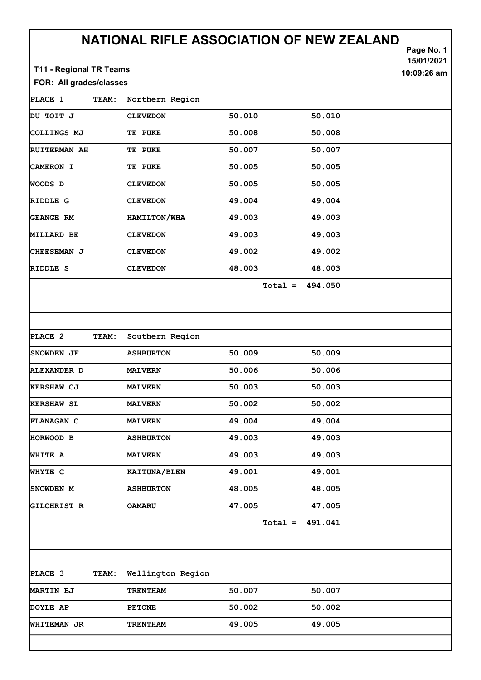## NATIONAL RIFLE ASSOCIATION OF NEW ZEALAND

| T11 - Regional TR Teams |              | \LIVI\NL I\IL L   | VIATIVI |           |         | Page No. 1<br>15/01/2021<br>10:09:26 am |
|-------------------------|--------------|-------------------|---------|-----------|---------|-----------------------------------------|
| FOR: All grades/classes |              |                   |         |           |         |                                         |
| PLACE 1                 | TEAM:        | Northern Region   |         |           |         |                                         |
| DU TOIT J               |              | <b>CLEVEDON</b>   | 50.010  |           | 50.010  |                                         |
| COLLINGS MJ             |              | TE PUKE           | 50.008  |           | 50.008  |                                         |
| <b>RUITERMAN AH</b>     |              | TE PUKE           | 50.007  |           | 50.007  |                                         |
| <b>CAMERON I</b>        |              | TE PUKE           | 50.005  |           | 50.005  |                                         |
| <b>WOODS D</b>          |              | <b>CLEVEDON</b>   | 50.005  |           | 50.005  |                                         |
| RIDDLE G                |              | <b>CLEVEDON</b>   | 49.004  |           | 49.004  |                                         |
| <b>GEANGE RM</b>        |              | HAMILTON/WHA      | 49.003  |           | 49.003  |                                         |
| <b>MILLARD BE</b>       |              | <b>CLEVEDON</b>   | 49.003  |           | 49.003  |                                         |
| <b>CHEESEMAN J</b>      |              | <b>CLEVEDON</b>   | 49.002  |           | 49.002  |                                         |
| RIDDLE S                |              | <b>CLEVEDON</b>   | 48.003  |           | 48.003  |                                         |
|                         |              |                   |         | $Total =$ | 494.050 |                                         |
| PLACE 2                 | TEAM:        | Southern Region   |         |           |         |                                         |
| <b>SNOWDEN JF</b>       |              | <b>ASHBURTON</b>  | 50.009  |           | 50.009  |                                         |
| <b>ALEXANDER D</b>      |              | <b>MALVERN</b>    | 50.006  |           | 50.006  |                                         |
| KERSHAW CJ              |              | <b>MALVERN</b>    | 50.003  |           | 50.003  |                                         |
| <b>KERSHAW SL</b>       |              | <b>MALVERN</b>    | 50.002  |           | 50.002  |                                         |
| FLANAGAN C              |              | <b>MALVERN</b>    | 49.004  |           | 49.004  |                                         |
| HORWOOD B               |              | <b>ASHBURTON</b>  | 49.003  |           | 49.003  |                                         |
| WHITE A                 |              | <b>MALVERN</b>    | 49.003  |           | 49.003  |                                         |
| WHYTE C                 |              | KAITUNA/BLEN      | 49.001  |           | 49.001  |                                         |
| SNOWDEN M               |              | <b>ASHBURTON</b>  | 48.005  |           | 48.005  |                                         |
| GILCHRIST R             |              | <b>OAMARU</b>     | 47.005  |           | 47.005  |                                         |
|                         |              |                   |         | $Total =$ | 491.041 |                                         |
|                         |              |                   |         |           |         |                                         |
|                         |              |                   |         |           |         |                                         |
| PLACE 3                 | <b>TEAM:</b> | Wellington Region |         |           |         |                                         |
| <b>MARTIN BJ</b>        |              | <b>TRENTHAM</b>   | 50.007  |           | 50.007  |                                         |
| <b>DOYLE AP</b>         |              | <b>PETONE</b>     | 50.002  |           | 50.002  |                                         |
| <b>WHITEMAN JR</b>      |              | <b>TRENTHAM</b>   | 49.005  |           | 49.005  |                                         |
|                         |              |                   |         |           |         |                                         |